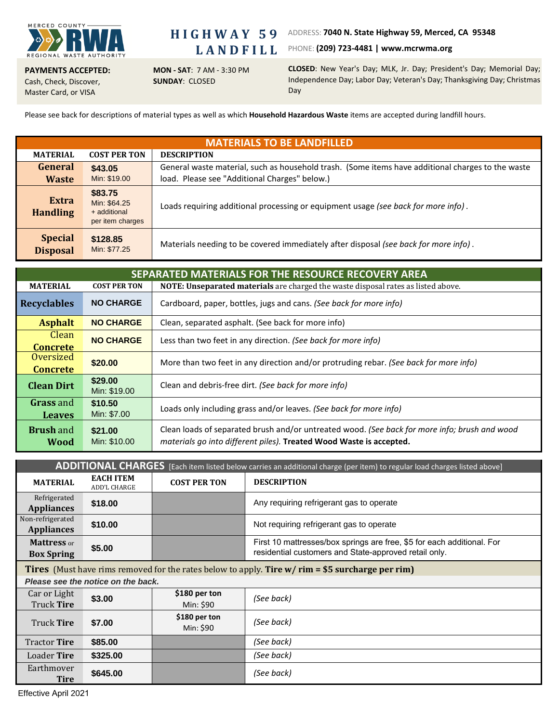

ADDRESS: **7040 N. State Highway 59, Merced, CA 95348 H I G H W A Y 5 9**

PHONE: **(209) 723‐4481 | www.mcrwma.org L A N D F I L L**

**PAYMENTS ACCEPTED:** Cash, Check, Discover, Master Card, or VISA

**MON ‐ SAT**: 7 AM ‐ 3:30 PM **SUNDAY**: CLOSED

**CLOSED**: New Year's Day; MLK, Jr. Day; President's Day; Memorial Day; Independence Day; Labor Day; Veteran's Day; Thanksgiving Day; Christmas Day

Please see back for descriptions of material types as well as which **Household Hazardous Waste** items are accepted during landfill hours.

| <b>MATERIALS TO BE LANDFILLED</b> |                                                             |                                                                                                   |  |  |  |
|-----------------------------------|-------------------------------------------------------------|---------------------------------------------------------------------------------------------------|--|--|--|
| <b>MATERIAL</b>                   | <b>COST PER TON</b>                                         | <b>DESCRIPTION</b>                                                                                |  |  |  |
| General                           | \$43.05                                                     | General waste material, such as household trash. (Some items have additional charges to the waste |  |  |  |
| <b>Waste</b>                      | Min: \$19.00                                                | load. Please see "Additional Charges" below.)                                                     |  |  |  |
| <b>Extra</b><br><b>Handling</b>   | \$83.75<br>Min: \$64.25<br>+ additional<br>per item charges | Loads requiring additional processing or equipment usage (see back for more info).                |  |  |  |
| <b>Special</b><br><b>Disposal</b> | \$128.85<br>Min: \$77.25                                    | Materials needing to be covered immediately after disposal (see back for more info).              |  |  |  |

| SEPARATED MATERIALS FOR THE RESOURCE RECOVERY AREA |                         |                                                                                                                                                                      |  |  |
|----------------------------------------------------|-------------------------|----------------------------------------------------------------------------------------------------------------------------------------------------------------------|--|--|
| <b>MATERIAL</b>                                    | <b>COST PER TON</b>     | <b>NOTE: Unseparated materials</b> are charged the waste disposal rates as listed above.                                                                             |  |  |
| <b>Recyclables</b>                                 | <b>NO CHARGE</b>        | Cardboard, paper, bottles, jugs and cans. (See back for more info)                                                                                                   |  |  |
| <b>Asphalt</b>                                     | <b>NO CHARGE</b>        | Clean, separated asphalt. (See back for more info)                                                                                                                   |  |  |
| Clean<br><b>Concrete</b>                           | <b>NO CHARGE</b>        | Less than two feet in any direction. (See back for more info)                                                                                                        |  |  |
| Oversized<br><b>Concrete</b>                       | \$20.00                 | More than two feet in any direction and/or protruding rebar. (See back for more info)                                                                                |  |  |
| <b>Clean Dirt</b>                                  | \$29.00<br>Min: \$19.00 | Clean and debris-free dirt. (See back for more info)                                                                                                                 |  |  |
| <b>Grass</b> and<br><b>Leaves</b>                  | \$10.50<br>Min: \$7.00  | Loads only including grass and/or leaves. (See back for more info)                                                                                                   |  |  |
| <b>Brush</b> and<br><b>Wood</b>                    | \$21.00<br>Min: \$10.00 | Clean loads of separated brush and/or untreated wood. (See back for more info; brush and wood<br>materials go into different piles). Treated Wood Waste is accepted. |  |  |

| ADDITIONAL CHARGES [Each item listed below carries an additional charge (per item) to regular load charges listed above]      |                                         |                            |                                                                                                                                 |  |
|-------------------------------------------------------------------------------------------------------------------------------|-----------------------------------------|----------------------------|---------------------------------------------------------------------------------------------------------------------------------|--|
| <b>MATERIAL</b>                                                                                                               | <b>EACH ITEM</b><br><b>ADD'L CHARGE</b> | <b>COST PER TON</b>        | <b>DESCRIPTION</b>                                                                                                              |  |
| Refrigerated<br><b>Appliances</b>                                                                                             | \$18.00                                 |                            | Any requiring refrigerant gas to operate                                                                                        |  |
| Non-refrigerated<br><b>Appliances</b>                                                                                         | \$10.00                                 |                            | Not requiring refrigerant gas to operate                                                                                        |  |
| <b>Mattress</b> or<br><b>Box Spring</b>                                                                                       | \$5.00                                  |                            | First 10 mattresses/box springs are free, \$5 for each additional. For<br>residential customers and State-approved retail only. |  |
| <b>Tires</b> (Must have rims removed for the rates below to apply. <b>Tire <math>w / r</math> im = \$5 surcharge per rim)</b> |                                         |                            |                                                                                                                                 |  |
| Please see the notice on the back.                                                                                            |                                         |                            |                                                                                                                                 |  |
| Car or Light<br>Truck Tire                                                                                                    | \$3.00                                  | \$180 per ton<br>Min: \$90 | (See back)                                                                                                                      |  |
| Truck Tire                                                                                                                    | \$7.00                                  | \$180 per ton<br>Min: \$90 | (See back)                                                                                                                      |  |
| <b>Tractor Tire</b>                                                                                                           | \$85.00                                 |                            | (See back)                                                                                                                      |  |
| Loader Tire                                                                                                                   | \$325.00                                |                            | (See back)                                                                                                                      |  |
| Earthmover<br><b>Tire</b>                                                                                                     | \$645.00                                |                            | (See back)                                                                                                                      |  |

Effective April 2021